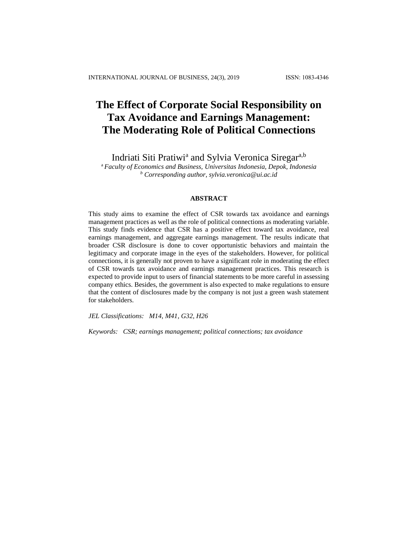# **The Effect of Corporate Social Responsibility on Tax Avoidance and Earnings Management: The Moderating Role of Political Connections**

Indriati Siti Pratiwi<sup>a</sup> and Sylvia Veronica Siregar<sup>a,b</sup>

<sup>a</sup>*Faculty of Economics and Business, Universitas Indonesia, Depok, Indonesia <sup>b</sup> Corresponding author, [sylvia.veronica@ui.ac.id](mailto:sylvia.veronica@ui.ac.id)*

## **ABSTRACT**

This study aims to examine the effect of CSR towards tax avoidance and earnings management practices as well as the role of political connections as moderating variable. This study finds evidence that CSR has a positive effect toward tax avoidance, real earnings management, and aggregate earnings management. The results indicate that broader CSR disclosure is done to cover opportunistic behaviors and maintain the legitimacy and corporate image in the eyes of the stakeholders. However, for political connections, it is generally not proven to have a significant role in moderating the effect of CSR towards tax avoidance and earnings management practices. This research is expected to provide input to users of financial statements to be more careful in assessing company ethics. Besides, the government is also expected to make regulations to ensure that the content of disclosures made by the company is not just a green wash statement for stakeholders.

*JEL Classifications: M14, M41, G32, H26*

*Keywords: CSR; earnings management; political connections; tax avoidance*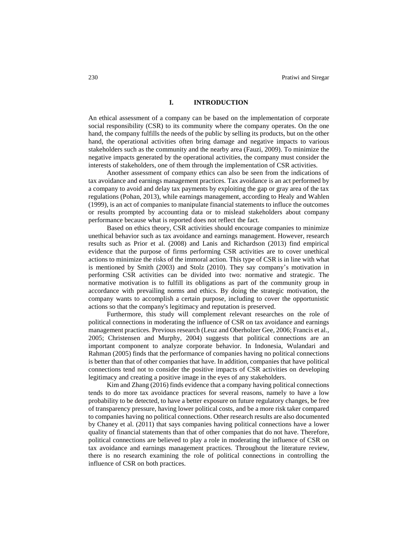# **I. INTRODUCTION**

An ethical assessment of a company can be based on the implementation of corporate social responsibility (CSR) to its community where the company operates. On the one hand, the company fulfills the needs of the public by selling its products, but on the other hand, the operational activities often bring damage and negative impacts to various stakeholders such as the community and the nearby area (Fauzi, 2009). To minimize the negative impacts generated by the operational activities, the company must consider the interests of stakeholders, one of them through the implementation of CSR activities.

Another assessment of company ethics can also be seen from the indications of tax avoidance and earnings management practices. Tax avoidance is an act performed by a company to avoid and delay tax payments by exploiting the gap or gray area of the tax regulations (Pohan, 2013), while earnings management, according to Healy and Wahlen (1999), is an act of companies to manipulate financial statements to influce the outcomes or results prompted by accounting data or to mislead stakeholders about company performance because what is reported does not reflect the fact.

Based on ethics theory, CSR activities should encourage companies to minimize unethical behavior such as tax avoidance and earnings management. However, research results such as Prior et al. (2008) and Lanis and Richardson (2013) find empirical evidence that the purpose of firms performing CSR activities are to cover unethical actions to minimize the risks of the immoral action. This type of CSR is in line with what is mentioned by Smith (2003) and Stolz (2010). They say company's motivation in performing CSR activities can be divided into two: normative and strategic. The normative motivation is to fulfill its obligations as part of the community group in accordance with prevailing norms and ethics. By doing the strategic motivation, the company wants to accomplish a certain purpose, including to cover the opportunistic actions so that the company's legitimacy and reputation is preserved.

Furthermore, this study will complement relevant researches on the role of political connections in moderating the influence of CSR on tax avoidance and earnings management practices. Previous research (Leuz and Oberholzer Gee, 2006; Francis et al., 2005; Christensen and Murphy, 2004) suggests that political connections are an important component to analyze corporate behavior. In Indonesia, Wulandari and Rahman (2005) finds that the performance of companies having no political connections is better than that of other companies that have. In addition, companies that have political connections tend not to consider the positive impacts of CSR activities on developing legitimacy and creating a positive image in the eyes of any stakeholders.

Kim and Zhang (2016) finds evidence that a company having political connections tends to do more tax avoidance practices for several reasons, namely to have a low probability to be detected, to have a better exposure on future regulatory changes, be free of transparency pressure, having lower political costs, and be a more risk taker compared to companies having no political connections. Other research results are also documented by Chaney et al. (2011) that says companies having political connections have a lower quality of financial statements than that of other companies that do not have. Therefore, political connections are believed to play a role in moderating the influence of CSR on tax avoidance and earnings management practices. Throughout the literature review, there is no research examining the role of political connections in controlling the influence of CSR on both practices.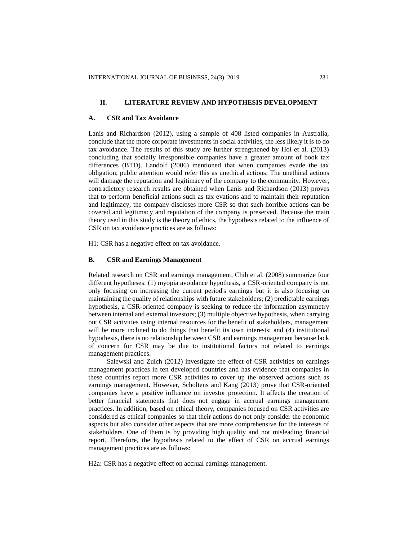## **II. LITERATURE REVIEW AND HYPOTHESIS DEVELOPMENT**

#### **A. CSR and Tax Avoidance**

Lanis and Richardson (2012), using a sample of 408 listed companies in Australia, conclude that the more corporate investments in social activities, the less likely it is to do tax avoidance. The results of this study are further strengthened by Hoi et al. (2013) concluding that socially irresponsible companies have a greater amount of book tax differences (BTD). Landolf (2006) mentioned that when companies evade the tax obligation, public attention would refer this as unethical actions. The unethical actions will damage the reputation and legitimacy of the company to the community. However, contradictory research results are obtained when Lanis and Richardson (2013) proves that to perform beneficial actions such as tax evations and to maintain their reputation and legitimacy, the company discloses more CSR so that such horrible actions can be covered and legitimacy and reputation of the company is preserved. Because the main theory used in this study is the theory of ethics, the hypothesis related to the influence of CSR on tax avoidance practices are as follows:

H1: CSR has a negative effect on tax avoidance.

# **B. CSR and Earnings Management**

Related research on CSR and earnings management, Chih et al. (2008) summarize four different hypotheses: (1) myopia avoidance hypothesis, a CSR-oriented company is not only focusing on increasing the current period's earnings but it is also focusing on maintaining the quality of relationships with future stakeholders; (2) predictable earnings hypothesis, a CSR-oriented company is seeking to reduce the information asymmetry between internal and external investors; (3) multiple objective hypothesis, when carrying out CSR activities using internal resources for the benefit of stakeholders, management will be more inclined to do things that benefit its own interests; and (4) institutional hypothesis, there is no relationship between CSR and earnings management because lack of concern for CSR may be due to institutional factors not related to earnings management practices.

Salewski and Zulch (2012) investigate the effect of CSR activities on earnings management practices in ten developed countries and has evidence that companies in these countries report more CSR activities to cover up the observed actions such as earnings management. However, Scholtens and Kang (2013) prove that CSR-oriented companies have a positive influence on investor protection. It affects the creation of better financial statements that does not engage in accrual earnings management practices. In addition, based on ethical theory, companies focused on CSR activities are considered as ethical companies so that their actions do not only consider the economic aspects but also consider other aspects that are more comprehensive for the interests of stakeholders. One of them is by providing high quality and not misleading financial report. Therefore, the hypothesis related to the effect of CSR on accrual earnings management practices are as follows:

H2a: CSR has a negative effect on accrual earnings management.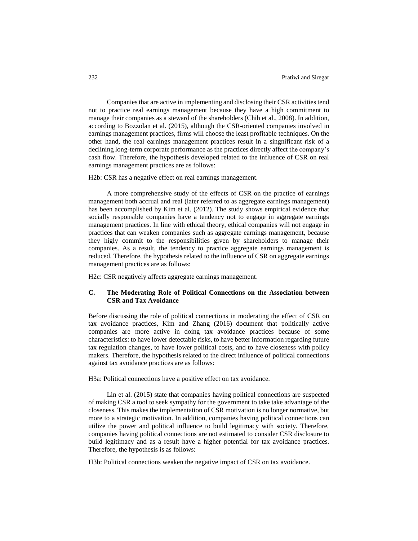Companies that are active in implementing and disclosing their CSR activities tend not to practice real earnings management because they have a high commitment to manage their companies as a steward of the shareholders (Chih et al., 2008). In addition, according to Bozzolan et al. (2015), although the CSR-oriented companies involved in earnings management practices, firms will choose the least profitable techniques. On the other hand, the real earnings management practices result in a singnificant risk of a declining long-term corporate performance as the practices directly affect the company's cash flow. Therefore, the hypothesis developed related to the influence of CSR on real earnings management practices are as follows:

H2b: CSR has a negative effect on real earnings management.

A more comprehensive study of the effects of CSR on the practice of earnings management both accrual and real (later referred to as aggregate earnings management) has been accomplished by Kim et al. (2012). The study shows empirical evidence that socially responsible companies have a tendency not to engage in aggregate earnings management practices. In line with ethical theory, ethical companies will not engage in practices that can weaken companies such as aggregate earnings management, because they higly commit to the responsibilities given by shareholders to manage their companies. As a result, the tendency to practice aggregate earnings management is reduced. Therefore, the hypothesis related to the influence of CSR on aggregate earnings management practices are as follows:

H2c: CSR negatively affects aggregate earnings management.

# **C. The Moderating Role of Political Connections on the Association between CSR and Tax Avoidance**

Before discussing the role of political connections in moderating the effect of CSR on tax avoidance practices, Kim and Zhang (2016) document that politically active companies are more active in doing tax avoidance practices because of some characteristics: to have lower detectable risks, to have better information regarding future tax regulation changes, to have lower political costs, and to have closeness with policy makers. Therefore, the hypothesis related to the direct influence of political connections against tax avoidance practices are as follows:

H3a: Political connections have a positive effect on tax avoidance.

Lin et al. (2015) state that companies having political connections are suspected of making CSR a tool to seek sympathy for the government to take take advantage of the closeness. This makes the implementation of CSR motivation is no longer normative, but more to a strategic motivation. In addition, companies having political connections can utilize the power and political influence to build legitimacy with society. Therefore, companies having political connections are not estimated to consider CSR disclosure to build legitimacy and as a result have a higher potential for tax avoidance practices. Therefore, the hypothesis is as follows:

H3b: Political connections weaken the negative impact of CSR on tax avoidance.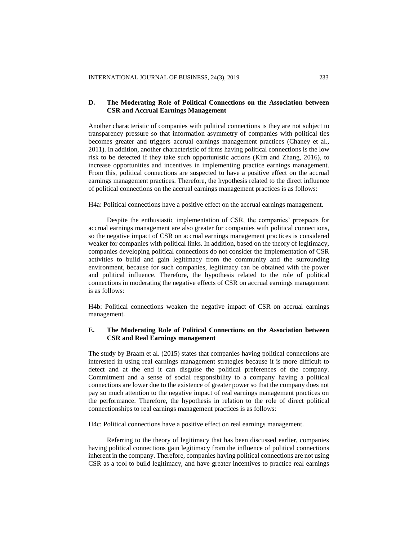## **D. The Moderating Role of Political Connections on the Association between CSR and Accrual Earnings Management**

Another characteristic of companies with political connections is they are not subject to transparency pressure so that information asymmetry of companies with political ties becomes greater and triggers accrual earnings management practices (Chaney et al., 2011). In addition, another characteristic of firms having political connections is the low risk to be detected if they take such opportunistic actions (Kim and Zhang, 2016), to increase opportunities and incentives in implementing practice earnings management. From this, political connections are suspected to have a positive effect on the accrual earnings management practices. Therefore, the hypothesis related to the direct influence of political connections on the accrual earnings management practices is as follows:

H4a: Political connections have a positive effect on the accrual earnings management.

Despite the enthusiastic implementation of CSR, the companies' prospects for accrual earnings management are also greater for companies with political connections, so the negative impact of CSR on accrual earnings management practices is considered weaker for companies with political links. In addition, based on the theory of legitimacy, companies developing political connections do not consider the implementation of CSR activities to build and gain legitimacy from the community and the surrounding environment, because for such companies, legitimacy can be obtained with the power and political influence. Therefore, the hypothesis related to the role of political connections in moderating the negative effects of CSR on accrual earnings management is as follows:

H4b: Political connections weaken the negative impact of CSR on accrual earnings management.

# **E. The Moderating Role of Political Connections on the Association between CSR and Real Earnings management**

The study by Braam et al. (2015) states that companies having political connections are interested in using real earnings management strategies because it is more difficult to detect and at the end it can disguise the political preferences of the company. Commitment and a sense of social responsibility to a company having a political connections are lower due to the existence of greater power so that the company does not pay so much attention to the negative impact of real earnings management practices on the performance. Therefore, the hypothesis in relation to the role of direct political connectionships to real earnings management practices is as follows:

H4c: Political connections have a positive effect on real earnings management.

Referring to the theory of legitimacy that has been discussed earlier, companies having political connections gain legitimacy from the influence of political connections inherent in the company. Therefore, companies having political connections are not using CSR as a tool to build legitimacy, and have greater incentives to practice real earnings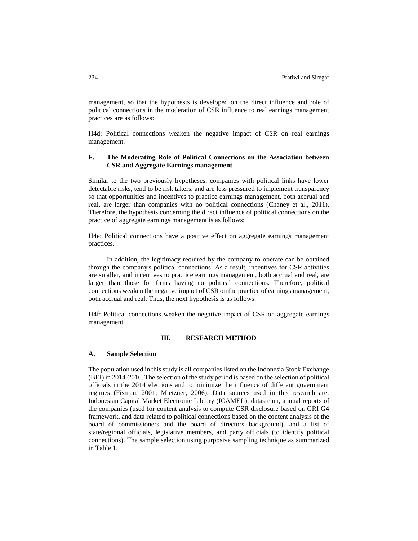management, so that the hypothesis is developed on the direct influence and role of political connections in the moderation of CSR influence to real earnings management practices are as follows:

H4d: Political connections weaken the negative impact of CSR on real earnings management.

# **F. The Moderating Role of Political Connections on the Association between CSR and Aggregate Earnings management**

Similar to the two previously hypotheses, companies with political links have lower detectable risks, tend to be risk takers, and are less pressured to implement transparency so that opportunities and incentives to practice earnings management, both accrual and real, are larger than companies with no political connections (Chaney et al., 2011). Therefore, the hypothesis concerning the direct influence of political connections on the practice of aggregate earnings management is as follows:

H4e: Political connections have a positive effect on aggregate earnings management practices.

In addition, the legitimacy required by the company to operate can be obtained through the company's political connections. As a result, incentives for CSR activities are smaller, and incentives to practice earnings management, both accrual and real, are larger than those for firms having no political connections. Therefore, political connections weaken the negative impact of CSR on the practice of earnings management, both accrual and real. Thus, the next hypothesis is as follows:

H4f: Political connections weaken the negative impact of CSR on aggregate earnings management.

# **III. RESEARCH METHOD**

### **A. Sample Selection**

The population used in this study is all companies listed on the Indonesia Stock Exchange (BEI) in 2014-2016. The selection of the study period is based on the selection of political officials in the 2014 elections and to minimize the influence of different government regimes (Fisman, 2001; Mietzner, 2006). Data sources used in this research are: Indonesian Capital Market Electronic Library (ICAMEL), datasream, annual reports of the companies (used for content analysis to compute CSR disclosure based on GRI G4 framework, and data related to political connections based on the content analysis of the board of commissioners and the board of directors background), and a list of state/regional officials, legislative members, and party officials (to identify political connections). The sample selection using purposive sampling technique as summarized in Table 1.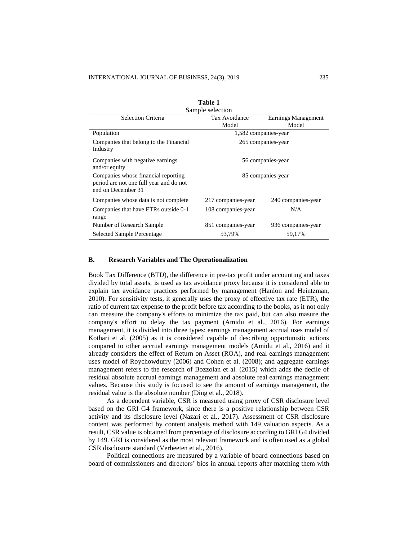| rapie r                                                                                              |                      |                    |  |  |
|------------------------------------------------------------------------------------------------------|----------------------|--------------------|--|--|
| Sample selection                                                                                     |                      |                    |  |  |
| Selection Criteria<br>Tax Avoidance<br>Earnings Management                                           |                      |                    |  |  |
|                                                                                                      | Model                | Model              |  |  |
| Population                                                                                           | 1,582 companies-year |                    |  |  |
| Companies that belong to the Financial<br>Industry                                                   | 265 companies-year   |                    |  |  |
| Companies with negative earnings<br>and/or equity                                                    | 56 companies-year    |                    |  |  |
| Companies whose financial reporting<br>period are not one full year and do not<br>end on December 31 | 85 companies-year    |                    |  |  |
| Companies whose data is not complete.                                                                | 217 companies-year   | 240 companies-year |  |  |
| Companies that have ETRs outside 0-1<br>range                                                        | 108 companies-year   | N/A                |  |  |
| Number of Research Sample                                                                            | 851 companies-year   | 936 companies-year |  |  |
| 53,79%<br><b>Selected Sample Percentage</b><br>59,17%                                                |                      |                    |  |  |

**Table 1** 

## **B. Research Variables and The Operationalization**

Book Tax Difference (BTD), the difference in pre-tax profit under accounting and taxes divided by total assets, is used as tax avoidance proxy because it is considered able to explain tax avoidance practices performed by management (Hanlon and Heintzman, 2010). For sensitivity tests, it generally uses the proxy of effective tax rate (ETR), the ratio of current tax expense to the profit before tax according to the books, as it not only can measure the company's efforts to minimize the tax paid, but can also masure the company's effort to delay the tax payment (Amidu et al., 2016). For earnings management, it is divided into three types: earnings management accrual uses model of Kothari et al. (2005) as it is considered capable of describing opportunistic actions compared to other accrual earnings management models (Amidu et al., 2016) and it already considers the effect of Return on Asset (ROA), and real earnings management uses model of Roychowdurry (2006) and Cohen et al. (2008); and aggregate earnings management refers to the research of Bozzolan et al. (2015) which adds the decile of residual absolute accrual earnings management and absolute real earnings management values. Because this study is focused to see the amount of earnings management, the residual value is the absolute number (Ding et al., 2018).

As a dependent variable, CSR is measured using proxy of CSR disclosure level based on the GRI G4 framework, since there is a positive relationship between CSR activity and its disclosure level (Nazari et al., 2017). Assessment of CSR disclosure content was performed by content analysis method with 149 valuation aspects. As a result, CSR value is obtained from percentage of disclosure according to GRI G4 divided by 149. GRI is considered as the most relevant framework and is often used as a global CSR disclosure standard (Verbeeten et al., 2016).

Political connections are measured by a variable of board connections based on board of commissioners and directors' bios in annual reports after matching them with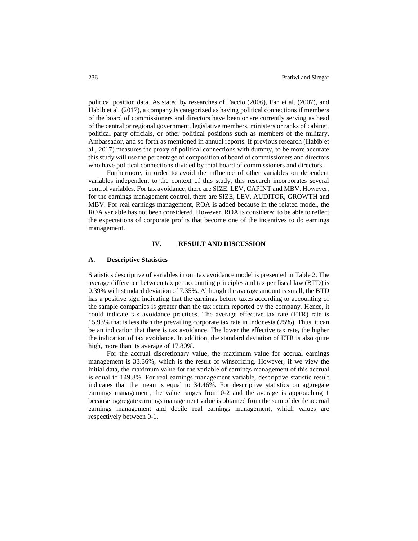political position data. As stated by researches of Faccio (2006), Fan et al. (2007), and Habib et al. (2017), a company is categorized as having political connections if members of the board of commissioners and directors have been or are currently serving as head of the central or regional government, legislative members, ministers or ranks of cabinet, political party officials, or other political positions such as members of the military, Ambassador, and so forth as mentioned in annual reports. If previous research (Habib et al., 2017) measures the proxy of political connections with dummy, to be more accurate this study will use the percentage of composition of board of commissioners and directors who have political connections divided by total board of commissioners and directors.

Furthermore, in order to avoid the influence of other variables on dependent variables independent to the context of this study, this research incorporates several control variables. For tax avoidance, there are SIZE, LEV, CAPINT and MBV. However, for the earnings management control, there are SIZE, LEV, AUDITOR, GROWTH and MBV. For real earnings management, ROA is added because in the related model, the ROA variable has not been considered. However, ROA is considered to be able to reflect the expectations of corporate profits that become one of the incentives to do earnings management.

## **IV. RESULT AND DISCUSSION**

## **A. Descriptive Statistics**

Statistics descriptive of variables in our tax avoidance model is presented in Table 2. The average difference between tax per accounting principles and tax per fiscal law (BTD) is 0.39% with standard deviation of 7.35%. Although the average amount is small, the BTD has a positive sign indicating that the earnings before taxes according to accounting of the sample companies is greater than the tax return reported by the company. Hence, it could indicate tax avoidance practices. The average effective tax rate (ETR) rate is 15.93% that is less than the prevailing corporate tax rate in Indonesia (25%). Thus, it can be an indication that there is tax avoidance. The lower the effective tax rate, the higher the indication of tax avoidance. In addition, the standard deviation of ETR is also quite high, more than its average of 17.80%.

For the accrual discretionary value, the maximum value for accrual earnings management is 33.36%, which is the result of winsorizing. However, if we view the initial data, the maximum value for the variable of earnings management of this accrual is equal to 149.8%. For real earnings management variable, descriptive statistic result indicates that the mean is equal to 34.46%. For descriptive statistics on aggregate earnings management, the value ranges from 0-2 and the average is approaching 1 because aggregate earnings management value is obtained from the sum of decile accrual earnings management and decile real earnings management, which values are respectively between 0-1.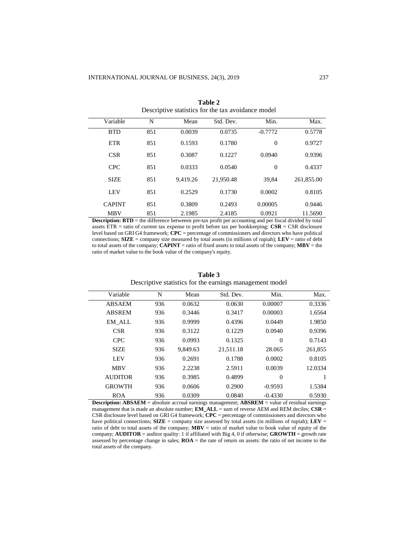| <u> D'estiput e sundstand foi une unit de signifie fillogei</u> |     |          |           |                |            |
|-----------------------------------------------------------------|-----|----------|-----------|----------------|------------|
| Variable                                                        | N   | Mean     | Std. Dev. | Min.           | Max.       |
| <b>BTD</b>                                                      | 851 | 0.0039   | 0.0735    | $-0.7772$      | 0.5778     |
| <b>ETR</b>                                                      | 851 | 0.1593   | 0.1780    | $\overline{0}$ | 0.9727     |
| <b>CSR</b>                                                      | 851 | 0.3087   | 0.1227    | 0.0940         | 0.9396     |
| <b>CPC</b>                                                      | 851 | 0.0333   | 0.0540    | $\overline{0}$ | 0.4337     |
| <b>SIZE</b>                                                     | 851 | 9.419.26 | 21.950.48 | 39.84          | 261,855.00 |
| <b>LEV</b>                                                      | 851 | 0.2529   | 0.1730    | 0.0002         | 0.8105     |
| <b>CAPINT</b>                                                   | 851 | 0.3809   | 0.2493    | 0.00005        | 0.9446     |
| <b>MBV</b>                                                      | 851 | 2.1985   | 2.4185    | 0.0921         | 11.5690    |

**Table 2** Descriptive statistics for the tax avoidance model

**Description: BTD** = the difference betweeen pre-tax profit per accounting and per fiscal divided by total assets ETR = ratio of current tax expense to profit before tax per bookkeeping; **CSR** = CSR disclosure level based on GRI G4 framework; **CPC** = percentage of commissioners and directors who have political connections; **SIZE** = company size measured by total assets (in millions of rupiah); **LEV** = ratio of debt to total assets of the company; **CAPINT** = ratio of fixed assets to total assets of the company; **MBV** = the ratio of market value to the book value of the company's equity.

| Variable       | N   | Mean     | Std. Dev. | Min.           | Max.    |
|----------------|-----|----------|-----------|----------------|---------|
| <b>ABSAEM</b>  | 936 | 0.0632   | 0.0630    | 0.00007        | 0.3336  |
| <b>ABSREM</b>  | 936 | 0.3446   | 0.3417    | 0.00003        | 1.6564  |
| <b>EM ALL</b>  | 936 | 0.9999   | 0.4396    | 0.0449         | 1.9850  |
| <b>CSR</b>     | 936 | 0.3122   | 0.1229    | 0.0940         | 0.9396  |
| <b>CPC</b>     | 936 | 0.0993   | 0.1325    | $\overline{0}$ | 0.7143  |
| <b>SIZE</b>    | 936 | 9.849.63 | 21,511.18 | 28.065         | 261,855 |
| <b>LEV</b>     | 936 | 0.2691   | 0.1788    | 0.0002         | 0.8105  |
| <b>MBV</b>     | 936 | 2.2238   | 2.5911    | 0.0039         | 12.0334 |
| <b>AUDITOR</b> | 936 | 0.3985   | 0.4899    | $\Omega$       |         |
| <b>GROWTH</b>  | 936 | 0.0606   | 0.2900    | $-0.9593$      | 1.5384  |
| <b>ROA</b>     | 936 | 0.0309   | 0.0840    | $-0.4330$      | 0.5930  |

**Table 3** Descriptive statistics for the earnings management model

**Description: ABSAEM** = absolute accrual earnings management; **ABSREM** = value of residual earnings management that is made an absolute number; **EM\_ALL** = sum of reverse AEM and REM deciles; **CSR** = CSR disclosure level based on GRI G4 framework; **CPC** = percentage of commissioners and directors who have political connections;  $\textbf{SIZE} = \text{company size assessed by total assets (in millions of rapid); } \textbf{LEV} = \text{Cov}(1)$ ratio of debt to total assets of the company;  $MBV =$  ratio of market value to book value of equity of the company; **AUDITOR** = auditor quality: 1 if affiliated with Big 4, 0 if otherwise; **GROWTH** = growth rate assessed by percentage change in sales; **ROA** = the rate of return on assets: the ratio of net income to the total assets of the company.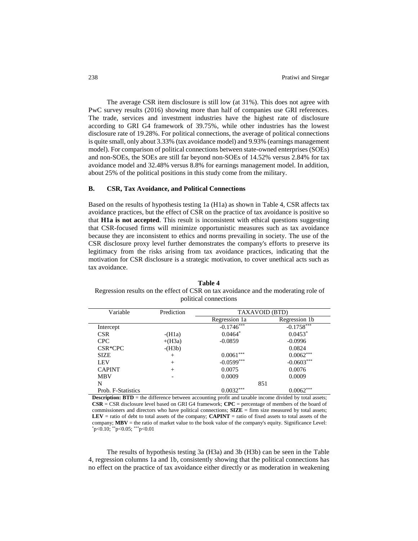The average CSR item disclosure is still low (at 31%). This does not agree with PwC survey results (2016) showing more than half of companies use GRI references. The trade, services and investment industries have the highest rate of disclosure according to GRI G4 framework of 39.75%, while other industries has the lowest disclosure rate of 19.28%. For political connections, the average of political connections is quite small, only about 3.33% (tax avoidance model) and 9.93% (earnings management model). For comparison of political connections between state-owned enterprises (SOEs) and non-SOEs, the SOEs are still far beyond non-SOEs of 14.52% versus 2.84% for tax avoidance model and 32.48% versus 8.8% for earnings management model. In addition, about 25% of the political positions in this study come from the military.

### **B. CSR, Tax Avoidance, and Political Connections**

Based on the results of hypothesis testing 1a (H1a) as shown in Table 4, CSR affects tax avoidance practices, but the effect of CSR on the practice of tax avoidance is positive so that **H1a is not accepted**. This result is inconsistent with ethical questions suggesting that CSR-focused firms will minimize opportunistic measures such as tax avoidance because they are inconsistent to ethics and norms prevailing in society. The use of the CSR disclosure proxy level further demonstrates the company's efforts to preserve its legitimacy from the risks arising from tax avoidance practices, indicating that the motivation for CSR disclosure is a strategic motivation, to cover unethical acts such as tax avoidance.

**Table 4** Regression results on the effect of CSR on tax avoidance and the moderating role of political connections

| Variable             | Prediction | TAXAVOID (BTD) |               |  |
|----------------------|------------|----------------|---------------|--|
|                      |            | Regression 1a  | Regression 1b |  |
| Intercept            |            | $-0.1746***$   | $-0.1758***$  |  |
| <b>CSR</b>           | $-H1a)$    | $0.0464*$      | $0.0453*$     |  |
| <b>CPC</b>           | $+(H3a)$   | $-0.0859$      | $-0.0996$     |  |
| CSR <sup>*</sup> CPC | $-H3b)$    |                | 0.0824        |  |
| <b>SIZE</b>          | $^{+}$     | $0.0061***$    | $0.0062***$   |  |
| <b>LEV</b>           | $^{+}$     | $-0.0599***$   | $-0.0603***$  |  |
| <b>CAPINT</b>        | $^{+}$     | 0.0075         | 0.0076        |  |
| <b>MBV</b>           |            | 0.0009         | 0.0009        |  |
| N                    |            | 851            |               |  |
| Prob. F-Statistics   |            | $0.0032***$    | $0.0062***$   |  |

**Description: BTD** = the difference between accounting profit and taxable income divided by total assets; **CSR** = CSR disclosure level based on GRI G4 framework; **CPC** = percentage of members of the board of commissioners and directors who have political connections; **SIZE** = firm size measured by total assets; **LEV** = ratio of debt to total assets of the company; **CAPINT** = ratio of fixed assets to total assets of the company; **MBV** = the ratio of market value to the book value of the company's equity. Significance Level:  $p<0.10$ ; \*\*p<0.05; \*\*\*p<0.01

The results of hypothesis testing 3a (H3a) and 3b (H3b) can be seen in the Table 4, regression columns 1a and 1b, consistently showing that the political connections has no effect on the practice of tax avoidance either directly or as moderation in weakening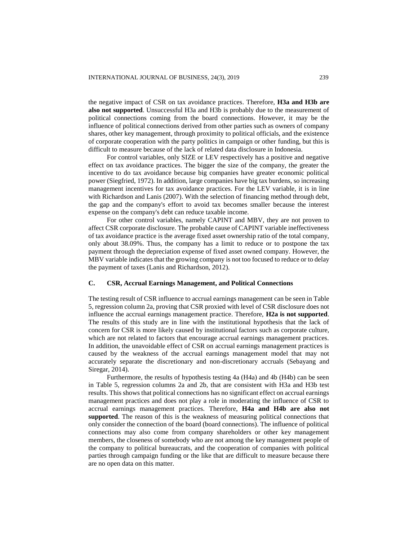the negative impact of CSR on tax avoidance practices. Therefore, **H3a and H3b are also not supported**. Unsuccessful H3a and H3b is probably due to the measurement of political connections coming from the board connections. However, it may be the influence of political connections derived from other parties such as owners of company shares, other key management, through proximity to political officials, and the existence of corporate cooperation with the party politics in campaign or other funding, but this is difficult to measure because of the lack of related data disclosure in Indonesia.

For control variables, only SIZE or LEV respectively has a positive and negative effect on tax avoidance practices. The bigger the size of the company, the greater the incentive to do tax avoidance because big companies have greater economic political power (Siegfried, 1972). In addition, large companies have big tax burdens, so increasing management incentives for tax avoidance practices. For the LEV variable, it is in line with Richardson and Lanis (2007). With the selection of financing method through debt, the gap and the company's effort to avoid tax becomes smaller because the interest expense on the company's debt can reduce taxable income.

For other control variables, namely CAPINT and MBV, they are not proven to affect CSR corporate disclosure. The probable cause of CAPINT variable ineffectiveness of tax avoidance practice is the average fixed asset ownership ratio of the total company, only about 38.09%. Thus, the company has a limit to reduce or to postpone the tax payment through the depreciation expense of fixed asset owned company. However, the MBV variable indicates that the growing company is not too focused to reduce or to delay the payment of taxes (Lanis and Richardson, 2012).

## **C. CSR, Accrual Earnings Management, and Political Connections**

The testing result of CSR influence to accrual earnings management can be seen in Table 5, regression column 2a, proving that CSR proxied with level of CSR disclosure does not influence the accrual earnings management practice. Therefore, **H2a is not supported**. The results of this study are in line with the institutional hypothesis that the lack of concern for CSR is more likely caused by institutional factors such as corporate culture, which are not related to factors that encourage accrual earnings management practices. In addition, the unavoidable effect of CSR on accrual earnings management practices is caused by the weakness of the accrual earnings management model that may not accurately separate the discretionary and non-discretionary accruals (Sebayang and Siregar, 2014).

Furthermore, the results of hypothesis testing 4a (H4a) and 4b (H4b) can be seen in Table 5, regression columns 2a and 2b, that are consistent with H3a and H3b test results. This shows that political connections has no significant effect on accrual earnings management practices and does not play a role in moderating the influence of CSR to accrual earnings management practices. Therefore, **H4a and H4b are also not supported**. The reason of this is the weakness of measuring political connections that only consider the connection of the board (board connections). The influence of political connections may also come from company shareholders or other key management members, the closeness of somebody who are not among the key management people of the company to political bureaucrats, and the cooperation of companies with political parties through campaign funding or the like that are difficult to measure because there are no open data on this matter.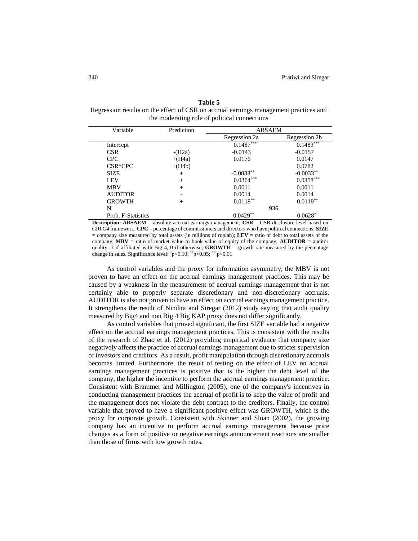| anı |  |
|-----|--|
|-----|--|

Regression results on the effect of CSR on accrual earnings management practices and the moderating role of political connections

| Variable             | Prediction               | <b>ABSAEM</b> |               |
|----------------------|--------------------------|---------------|---------------|
|                      |                          | Regression 2a | Regression 2b |
| Intercept            |                          | $0.1487***$   | $0.1483***$   |
| <b>CSR</b>           | $-H2a)$                  | $-0.0143$     | $-0.0157$     |
| <b>CPC</b>           | $+(H4a)$                 | 0.0176        | 0.0147        |
| CSR <sup>*</sup> CPC | $+(H4b)$                 |               | 0.0782        |
| <b>SIZE</b>          | $^{+}$                   | $-0.0033**$   | $-0.0033**$   |
| <b>LEV</b>           | $^{+}$                   | $0.0364***$   | $0.0358***$   |
| <b>MBV</b>           | $^{+}$                   | 0.0011        | 0.0011        |
| <b>AUDITOR</b>       | $\overline{\phantom{0}}$ | 0.0014        | 0.0014        |
| <b>GROWTH</b>        | $^{+}$                   | $0.0118**$    | $0.0119**$    |
| N                    |                          |               | 936           |
| Prob. F-Statistics   |                          | $0.0429**$    | $0.0628*$     |

**Description: ABSAEM = absolute accrual earnings management; <b>CSR** = CSR disclosure level based on GRI G4 framework; **CPC** = percentage of commissioners and directors who have political connections; **SIZE** = company size measured by total assets (in millions of rupiah); **LEV** = ratio of debt to total assets of the company;  $MBV$  = ratio of market value to book value of equity of the company; **AUDITOR** = auditor quality: 1 if affiliated with Big 4, 0 if otherwise; **GROWTH** = growth rate measured by the percentage change in sales. Significance level: \*p<0.10; \*\*p<0.05; \*\*\*p<0.01

As control variables and the proxy for information asymmetry, the MBV is not proven to have an effect on the accrual earnings management practices. This may be caused by a weakness in the measurement of accrual earnings management that is not certainly able to properly separate discretionary and non-discretionary accruals. AUDITOR is also not proven to have an effect on accrual earnings management practice. It strengthens the result of Nindita and Siregar (2012) study saying that audit quality measured by Big4 and non Big 4 Big KAP proxy does not differ significantly.

As control variables that proved significant, the first SIZE variable had a negative effect on the accrual earnings management practices. This is consistent with the results of the research of Zhao et al. (2012) providing empirical evidence that company size negatively affects the practice of accrual earnings management due to stricter supervision of investors and creditors. As a result, profit manipulation through discretionary accruals becomes limited. Furthermore, the result of testing on the effect of LEV on accrual earnings management practices is positive that is the higher the debt level of the company, the higher the incentive to perform the accrual earnings management practice. Consistent with Brammer and Millington (2005), one of the company's incentives in conducting management practices the accrual of profit is to keep the value of profit and the management does not violate the debt contract to the creditors. Finally, the control variable that proved to have a significant positive effect was GROWTH, which is the proxy for corporate growth. Consistent with Skinner and Sloan (2002), the growing company has an incentive to perform accrual earnings management because price changes as a form of positive or negative earnings announcement reactions are smaller than those of firms with low growth rates.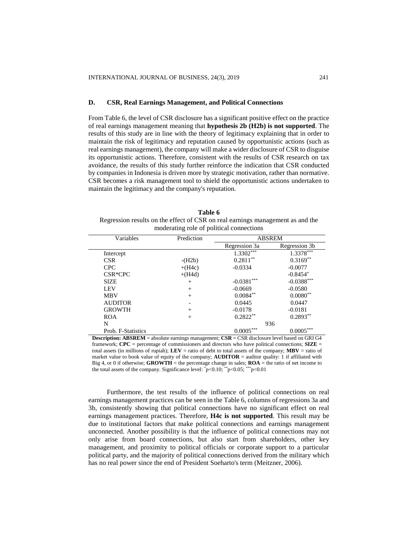# **D. CSR, Real Earnings Management, and Political Connections**

From Table 6, the level of CSR disclosure has a significant positive effect on the practice of real earnings management meaning that **hypothesis 2b (H2b) is not supported**. The results of this study are in line with the theory of legitimacy explaining that in order to maintain the risk of legitimacy and reputation caused by opportunistic actions (such as real earnings management), the company will make a wider disclosure of CSR to disguise its opportunistic actions. Therefore, consistent with the results of CSR research on tax avoidance, the results of this study further reinforce the indication that CSR conducted by companies in Indonesia is driven more by strategic motivation, rather than normative. CSR becomes a risk management tool to shield the opportunistic actions undertaken to maintain the legitimacy and the company's reputation.

| Table 6                                                                        |  |  |  |
|--------------------------------------------------------------------------------|--|--|--|
| Regression results on the effect of CSR on real earnings management as and the |  |  |  |
| moderating role of political connections                                       |  |  |  |

| Variables          | Prediction | <b>ABSREM</b> |               |
|--------------------|------------|---------------|---------------|
|                    |            | Regression 3a | Regression 3b |
| Intercept          |            | $1.3302***$   | $1.3378***$   |
| <b>CSR</b>         | $-H2b)$    | $0.2811***$   | $0.3169**$    |
| <b>CPC</b>         | $+(H4c)$   | $-0.0334$     | $-0.0077$     |
| CSR*CPC            | $+(H4d)$   |               | $-0.8454*$    |
| <b>SIZE</b>        | $^{+}$     | $-0.0381***$  | $-0.0388***$  |
| <b>LEV</b>         | $^{+}$     | $-0.0669$     | $-0.0580$     |
| <b>MBV</b>         | $^{+}$     | $0.0084**$    | $0.0080**$    |
| <b>AUDITOR</b>     |            | 0.0445        | 0.0447        |
| <b>GROWTH</b>      | $^{+}$     | $-0.0178$     | $-0.0181$     |
| <b>ROA</b>         | $^{+}$     | $0.2822**$    | $0.2893**$    |
| N                  |            | 936           |               |
| Prob. F-Statistics |            | $0.0005***$   | $0.0005***$   |

**Description: ABSREM** = absolute earnings management; **CSR** = CSR disclosure level based on GRI G4 framework;  $\text{CPC}$  = percentage of commissioners and directors who have political connections;  $\text{SIZE}$  = total assets (in millions of rupiah);  $\bf{LEV}$  = ratio of debt to total assets of the company;  $\bf{MBV}$  = ratio of market value to book value of equity of the company; **AUDITOR** = auditor quality: 1 if affiliated with Big 4, or 0 if otherwise; **GROWTH** = the percentage change in sales; **ROA** = the ratio of net income to the total assets of the company. Significance level:  $\degree$ p<0.10;  $\degree$  \* $\degree$ p<0.05; \* $\degree$  p<0.01

Furthermore, the test results of the influence of political connections on real earnings management practices can be seen in the Table 6, columns of regressions 3a and 3b, consistently showing that political connections have no significant effect on real earnings management practices. Therefore, **H4c is not supported**. This result may be due to institutional factors that make political connections and earnings management unconnected. Another possibility is that the influence of political connections may not only arise from board connections, but also start from shareholders, other key management, and proximity to political officials or corporate support to a particular political party, and the majority of political connections derived from the military which has no real power since the end of President Soeharto's term (Meitzner, 2006).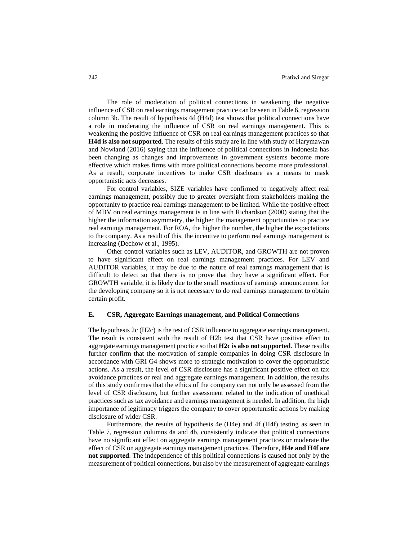The role of moderation of political connections in weakening the negative influence of CSR on real earnings management practice can be seen in Table 6, regression column 3b. The result of hypothesis 4d (H4d) test shows that political connections have a role in moderating the influence of CSR on real earnings management. This is weakening the positive influence of CSR on real earnings management practices so that **H4d is also not supported**. The results of this study are in line with study of Harymawan and Nowland (2016) saying that the influence of political connections in Indonesia has been changing as changes and improvements in government systems become more effective which makes firms with more political connections become more professional. As a result, corporate incentives to make CSR disclosure as a means to mask opportunistic acts decreases.

For control variables, SIZE variables have confirmed to negatively affect real earnings management, possibly due to greater oversight from stakeholders making the opportunity to practice real earnings management to be limited. While the positive effect of MBV on real earnings management is in line with Richardson (2000) stating that the higher the information asymmetry, the higher the management opportunities to practice real earnings management. For ROA, the higher the number, the higher the expectations to the company. As a result of this, the incentive to perform real earnings management is increasing (Dechow et al., 1995).

Other control variables such as LEV, AUDITOR, and GROWTH are not proven to have significant effect on real earnings management practices. For LEV and AUDITOR variables, it may be due to the nature of real earnings management that is difficult to detect so that there is no prove that they have a significant effect. For GROWTH variable, it is likely due to the small reactions of earnings announcement for the developing company so it is not necessary to do real earnings management to obtain certain profit.

## **E. CSR, Aggregate Earnings management, and Political Connections**

The hypothesis 2c (H2c) is the test of CSR influence to aggregate earnings management. The result is consistent with the result of H2b test that CSR have positive effect to aggregate earnings management practice so that **H2c is also not supported**. These results further confirm that the motivation of sample companies in doing CSR disclosure in accordance with GRI G4 shows more to strategic motivation to cover the opportunistic actions. As a result, the level of CSR disclosure has a significant positive effect on tax avoidance practices or real and aggregate earnings management. In addition, the results of this study confirmes that the ethics of the company can not only be assessed from the level of CSR disclosure, but further assessment related to the indication of unethical practices such as tax avoidance and earnings management is needed. In addition, the high importance of legitimacy triggers the company to cover opportunistic actions by making disclosure of wider CSR.

Furthermore, the results of hypothesis 4e (H4e) and 4f (H4f) testing as seen in Table 7, regression columns 4a and 4b, consistently indicate that political connections have no significant effect on aggregate earnings management practices or moderate the effect of CSR on aggregate earnings management practices. Therefore, **H4e and H4f are not supported**. The independence of this political connections is caused not only by the measurement of political connections, but also by the measurement of aggregate earnings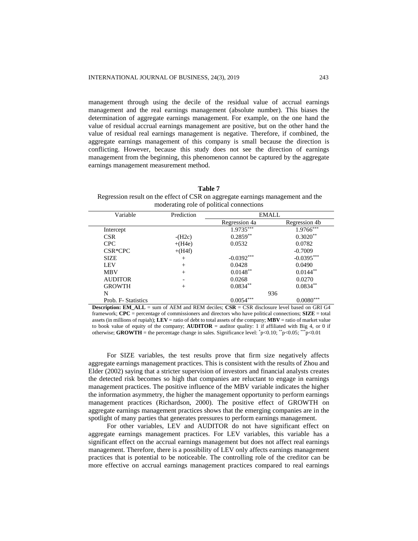management through using the decile of the residual value of accrual earnings management and the real earnings management (absolute number). This biases the determination of aggregate earnings management. For example, on the one hand the value of residual accrual earnings management are positive, but on the other hand the value of residual real earnings management is negative. Therefore, if combined, the aggregate earnings management of this company is small because the direction is conflicting. However, because this study does not see the direction of earnings management from the beginning, this phenomenon cannot be captured by the aggregate earnings management measurement method.

#### **Table 7**

Regression result on the effect of CSR on aggregate earnings management and the moderating role of political connections

| Variable            | Prediction | EMALL         |                         |
|---------------------|------------|---------------|-------------------------|
|                     |            | Regression 4a | Regression 4b           |
| Intercept           |            | $1.9735***$   | $1.9766***$             |
| <b>CSR</b>          | $-(H2c)$   | $0.2859**$    | $0.3020**$              |
| <b>CPC</b>          | $+(H4e)$   | 0.0532        | 0.0782                  |
| CSR*CPC             | $+(H4f)$   |               | $-0.7009$               |
| <b>SIZE</b>         | $^{+}$     | $-0.0392***$  | $-0.0395***$            |
| <b>LEV</b>          | $^{+}$     | 0.0428        | 0.0490                  |
| <b>MBV</b>          | $^{+}$     | $0.0148**$    | $0.0144**$              |
| <b>AUDITOR</b>      |            | 0.0268        | 0.0270                  |
| <b>GROWTH</b>       | $^{+}$     | $0.0834**$    | $0.0834**$              |
| N                   |            |               | 936                     |
| Prob. F- Statistics |            | ***<br>0.0054 | $0.0080^{\ast\ast\ast}$ |

**Description: EM\_ALL** = sum of AEM and REM deciles; **CSR** = CSR disclosure level based on GRI G4 framework; **CPC** = percentage of commissioners and directors who have political connections; **SIZE** = total assets (in millions of rupiah); **LEV** = ratio of debt to total assets of the company; **MBV** = ratio of market value to book value of equity of the company; **AUDITOR** = auditor quality: 1 if affiliated with Big 4, or 0 if otherwise; **GROWTH** = the percentage change in sales. Significance level:  ${}^{*}p<0.10$ ;  ${}^{*}p<0.05$ ;  ${}^{**}p<0.01$ 

For SIZE variables, the test results prove that firm size negatively affects aggregate earnings management practices. This is consistent with the results of Zhou and Elder (2002) saying that a stricter supervision of investors and financial analysts creates the detected risk becomes so high that companies are reluctant to engage in earnings management practices. The positive influence of the MBV variable indicates the higher the information asymmetry, the higher the management opportunity to perform earnings management practices (Richardson, 2000). The positive effect of GROWTH on aggregate earnings management practices shows that the emerging companies are in the spotlight of many parties that generates pressures to perform earnings management.

For other variables, LEV and AUDITOR do not have significant effect on aggregate earnings management practices. For LEV variables, this variable has a significant effect on the accrual earnings management but does not affect real earnings management. Therefore, there is a possibility of LEV only affects earnings management practices that is potential to be noticeable. The controlling role of the creditor can be more effective on accrual earnings management practices compared to real earnings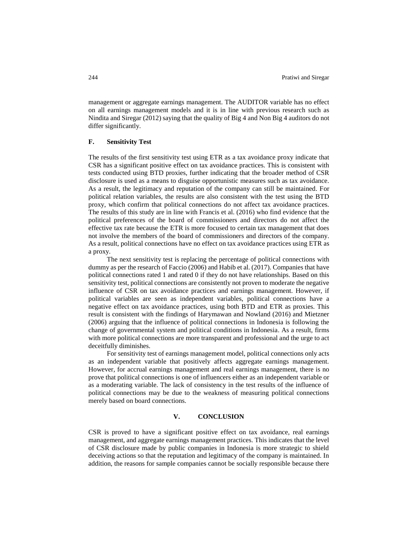management or aggregate earnings management. The AUDITOR variable has no effect on all earnings management models and it is in line with previous research such as Nindita and Siregar (2012) saying that the quality of Big 4 and Non Big 4 auditors do not differ significantly.

## **F. Sensitivity Test**

The results of the first sensitivity test using ETR as a tax avoidance proxy indicate that CSR has a significant positive effect on tax avoidance practices. This is consistent with tests conducted using BTD proxies, further indicating that the broader method of CSR disclosure is used as a means to disguise opportunistic measures such as tax avoidance. As a result, the legitimacy and reputation of the company can still be maintained. For political relation variables, the results are also consistent with the test using the BTD proxy, which confirm that political connections do not affect tax avoidance practices. The results of this study are in line with Francis et al. (2016) who find evidence that the political preferences of the board of commissioners and directors do not affect the effective tax rate because the ETR is more focused to certain tax management that does not involve the members of the board of commissioners and directors of the company. As a result, political connections have no effect on tax avoidance practices using ETR as a proxy.

The next sensitivity test is replacing the percentage of political connections with dummy as per the research of Faccio (2006) and Habib et al. (2017). Companies that have political connections rated 1 and rated 0 if they do not have relationships. Based on this sensitivity test, political connections are consistently not proven to moderate the negative influence of CSR on tax avoidance practices and earnings management. However, if political variables are seen as independent variables, political connections have a negative effect on tax avoidance practices, using both BTD and ETR as proxies. This result is consistent with the findings of Harymawan and Nowland (2016) and Mietzner (2006) arguing that the influence of political connections in Indonesia is following the change of governmental system and political conditions in Indonesia. As a result, firms with more political connections are more transparent and professional and the urge to act deceitfully diminishes.

For sensitivity test of earnings management model, political connections only acts as an independent variable that positively affects aggregate earnings management. However, for accrual earnings management and real earnings management, there is no prove that political connections is one of influencers either as an independent variable or as a moderating variable. The lack of consistency in the test results of the influence of political connections may be due to the weakness of measuring political connections merely based on board connections.

# **V. CONCLUSION**

CSR is proved to have a significant positive effect on tax avoidance, real earnings management, and aggregate earnings management practices. This indicates that the level of CSR disclosure made by public companies in Indonesia is more strategic to shield deceiving actions so that the reputation and legitimacy of the company is maintained. In addition, the reasons for sample companies cannot be socially responsible because there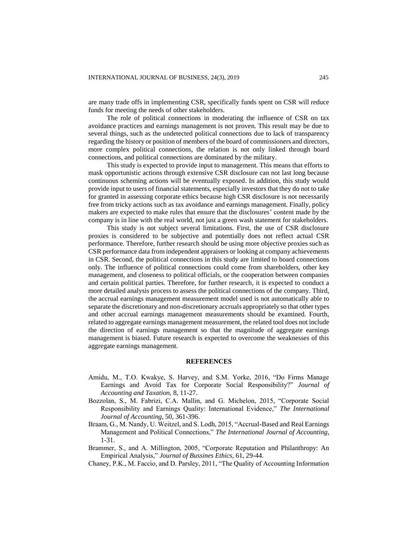are many trade offs in implementing CSR, specifically funds spent on CSR will reduce funds for meeting the needs of other stakeholders.

The role of political connections in moderating the influence of CSR on tax avoidance practices and earnings management is not proven. This result may be due to several things, such as the undetected political connections due to lack of transparency regarding the history or position of members of the board of commissioners and directors, more complex political connections, the relation is not only linked through board connections, and political connections are dominated by the military.

This study is expected to provide input to management. This means that efforts to mask opportunistic actions through extensive CSR disclosure can not last long because continuous scheming actions will be eventually exposed. In addition, this study would provide input to users of financial statements, especially investors that they do not to take for granted in assessing corporate ethics because high CSR disclosure is not necessarily free from tricky actions such as tax avoidance and earnings management. Finally, policy makers are expected to make rules that ensure that the disclosures' content made by the company is in line with the real world, not just a green wash statement for stakeholders.

This study is not subject several limitations. First, the use of CSR disclosure proxies is considered to be subjective and potentially does not reflect actual CSR performance. Therefore, further research should be using more objective proxies such as CSR performance data from independent appraisers or looking at company achievements in CSR. Second, the political connections in this study are limited to board connections only. The influence of political connections could come from shareholders, other key management, and closeness to political officials, or the cooperation between companies and certain political parties. Therefore, for further research, it is expected to conduct a more detailed analysis process to assess the political connections of the company. Third, the accrual earnings management measurement model used is not automatically able to separate the discretionary and non-discretionary accruals appropriately so that other types and other accrual earnings management measurements should be examined. Fourth, related to aggregate earnings management measurement, the related tool does not include the direction of earnings management so that the magnitude of aggregate earnings management is biased. Future research is expected to overcome the weaknesses of this aggregate earnings management.

### **REFERENCES**

- Amidu, M., T.O. Kwakye, S. Harvey, and S.M. Yorke, 2016, "Do Firms Manage Earnings and Avoid Tax for Corporate Social Responsibility?" *Journal of Accounting and Taxation,* 8, 11-27.
- Bozzolan, S., M. Fabrizi, C.A. Mallin, and G. Michelon, 2015, "Corporate Social Responsibility and Earnings Quality: International Evidence," *The International Journal of Accounting*, 50, 361-396.
- Braam, G., M. Nandy, U. Weitzel, and S. Lodh, 2015, "Accrual-Based and Real Earnings Management and Political Connections," *The International Journal of Accounting*, 1-31.
- Brammer, S., and A. Millington, 2005, "Corporate Reputation and Philanthropy: An Empirical Analysis," *Journal of Bussines Ethics*, 61, 29-44.
- Chaney, P.K., M. Faccio, and D. Parsley, 2011, "The Quality of Accounting Information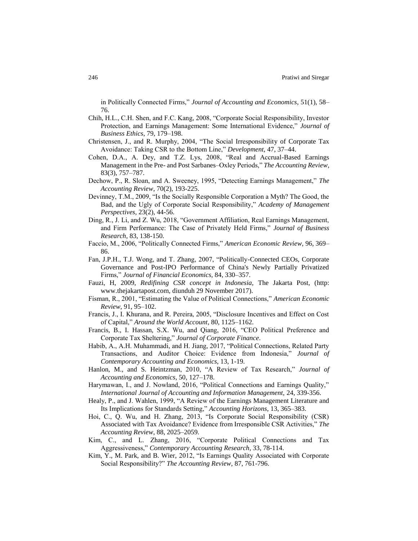in Politically Connected Firms," *Journal of Accounting and Economics*, 51(1), 58– 76.

- Chih, H.L., C.H. Shen, and F.C. Kang, 2008, "Corporate Social Responsibility, Investor Protection, and Earnings Management: Some International Evidence," *Journal of Business Ethics*, 79, 179–198.
- Christensen, J., and R. Murphy, 2004, "The Social Irresponsibility of Corporate Tax Avoidance: Taking CSR to the Bottom Line," *Development*, 47, 37–44.
- Cohen, D.A., A. Dey, and T.Z. Lys, 2008, "Real and Accrual-Based Earnings Management in the Pre- and Post Sarbanes–Oxley Periods," *The Accounting Review*, 83(3), 757–787.
- Dechow, P., R. Sloan, and A. Sweeney, 1995, "Detecting Earnings Management," *The Accounting Review*, 70(2), 193-225.
- Devinney, T.M., 2009, "Is the Socially Responsible Corporation a Myth? The Good, the Bad, and the Ugly of Corporate Social Responsibility," *Academy of Management Perspectives,* 23(2), 44-56.
- Ding, R., J. Li, and Z. Wu, 2018, "Government Affiliation, Real Earnings Management, and Firm Performance: The Case of Privately Held Firms," *Journal of Business Research*, 83, 138-150.
- Faccio, M., 2006, "Politically Connected Firms," *American Economic Review*, 96, 369– 86.
- Fan, J.P.H., T.J. Wong, and T. Zhang, 2007, "Politically-Connected CEOs, Corporate Governance and Post-IPO Performance of China's Newly Partially Privatized Firms," *Journal of Financial Economics*, 84, 330–357.
- Fauzi, H, 2009, *Redifining CSR concept in Indonesia*, The Jakarta Post, (http: www.thejakartapost.com, diunduh 29 November 2017).
- Fisman, R., 2001, "Estimating the Value of Political Connections," *American Economic Review*, 91, 95–102.
- Francis, J., I. Khurana, and R. Pereira, 2005, "Disclosure Incentives and Effect on Cost of Capital," *Around the World Account*, 80, 1125–1162.
- Francis, B., I. Hassan, S.X. Wu, and Qiang, 2016, "CEO Political Preference and Corporate Tax Sheltering," *Journal of Corporate Finance*.
- Habib, A., A.H. Muhammadi, and H. Jiang, 2017, "Political Connections, Related Party Transactions, and Auditor Choice: Evidence from Indonesia," *Journal of Contemporary Accounting and Economics*, 13, 1-19.
- Hanlon, M., and S. Heintzman, 2010, "A Review of Tax Research," *Journal of Accounting and Economics*, 50, 127–178.
- Harymawan, I., and J. Nowland, 2016, "Political Connections and Earnings Quality," *International Journal of Accounting and Information Management,* 24, 339-356.
- Healy, P., and J. Wahlen, 1999, "A Review of the Earnings Management Literature and Its Implications for Standards Setting," *Accounting Horizons*, 13, 365–383.
- Hoi, C., Q. Wu, and H. Zhang, 2013, "Is Corporate Social Responsibility (CSR) Associated with Tax Avoidance? Evidence from Irresponsible CSR Activities," *The Accounting Review*, 88, 2025–2059.
- Kim, C., and L. Zhang, 2016, "Corporate Political Connections and Tax Aggressiveness," *Contemporary Accounting Research*, 33, 78-114.
- Kim, Y., M. Park, and B. Wier, 2012, "Is Earnings Quality Associated with Corporate Social Responsibility?" *The Accounting Review*, 87, 761-796.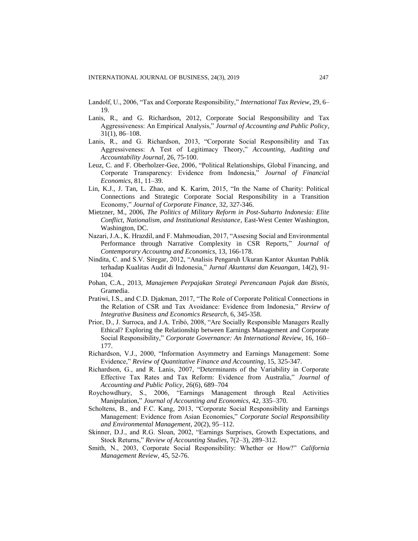Landolf, U., 2006, "Tax and Corporate Responsibility," *International Tax Review*, 29, 6– 19.

- Lanis, R., and G. Richardson, 2012, Corporate Social Responsibility and Tax Aggressiveness: An Empirical Analysis," *Journal of Accounting and Public Policy*, 31(1), 86–108.
- Lanis, R., and G. Richardson, 2013, "Corporate Social Responsibility and Tax Aggressiveness: A Test of Legitimacy Theory," *Accounting, Auditing and Accountability Journal*, 26, 75-100.
- Leuz, C. and F. Oberholzer-Gee, 2006, "Political Relationships, Global Financing, and Corporate Transparency: Evidence from Indonesia," *Journal of Financial Economics*, 81, 11–39.
- Lin, K.J., J. Tan, L. Zhao, and K. Karim, 2015, "In the Name of Charity: Political Connections and Strategic Corporate Social Responsibility in a Transition Economy," *Journal of Corporate Finance*, 32, 327-346.
- Mietzner, M., 2006, *The Politics of Military Reform in Post-Suharto Indonesia: Elite Conflict, Nationalism, and Institutional Resistance*, East-West Center Washington, Washington, DC.
- Nazari, J.A., K. Hrazdil, and F. Mahmoudian, 2017, "Assesing Social and Environmental Performance through Narrative Complexity in CSR Reports," *Journal of Contemporary Accountng and Economics*, 13, 166-178.
- Nindita, C. and S.V. Siregar, 2012, "Analisis Pengaruh Ukuran Kantor Akuntan Publik terhadap Kualitas Audit di Indonesia," *Jurnal Akuntansi dan Keuangan*, 14(2), 91- 104.
- Pohan, C.A., 2013, *Manajemen Perpajakan Strategi Perencanaan Pajak dan Bisnis,*  Gramedia.
- Pratiwi, I.S., and C.D. Djakman, 2017, "The Role of Corporate Political Connections in the Relation of CSR and Tax Avoidance: Evidence from Indonesia," *Review of Integrative Business and Economics Research*, 6, 345-358.
- Prior, D., J. Surroca, and J.A. Tribó, 2008, "Are Socially Responsible Managers Really Ethical? Exploring the Relationship between Earnings Management and Corporate Social Responsibility," *Corporate Governance: An International Review*, 16, 160– 177.
- Richardson, V.J., 2000, "Information Asymmetry and Earnings Management: Some Evidence," *Review of Quantitative Finance and Accounting*, 15, 325-347.
- Richardson, G., and R. Lanis, 2007, "Determinants of the Variability in Corporate Effective Tax Rates and Tax Reform: Evidence from Australia," *Journal of Accounting and Public Policy*, 26(6), 689–704
- Roychowdhury, S., 2006, "Earnings Management through Real Activities Manipulation," *Journal of Accounting and Economics*, 42, 335–370.
- Scholtens, B., and F.C. Kang, 2013, "Corporate Social Responsibility and Earnings Management: Evidence from Asian Economies," *Corporate Social Responsibility and Environmental Management*, 20(2), 95–112.
- Skinner, D.J., and R.G. Sloan, 2002, "Earnings Surprises, Growth Expectations, and Stock Returns," *Review of Accounting Studies*, 7(2–3), 289–312.
- Smith, N., 2003, Corporate Social Responsibility: Whether or How?" *California Management Review,* 45, 52-76.